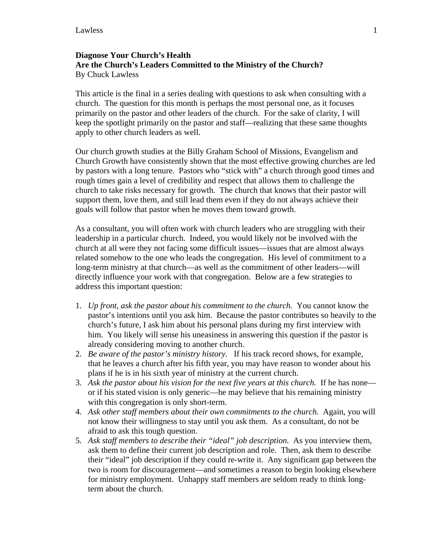## **Diagnose Your Church's Health Are the Church's Leaders Committed to the Ministry of the Church?**  By Chuck Lawless

This article is the final in a series dealing with questions to ask when consulting with a church. The question for this month is perhaps the most personal one, as it focuses primarily on the pastor and other leaders of the church. For the sake of clarity, I will keep the spotlight primarily on the pastor and staff—realizing that these same thoughts apply to other church leaders as well.

Our church growth studies at the Billy Graham School of Missions, Evangelism and Church Growth have consistently shown that the most effective growing churches are led by pastors with a long tenure. Pastors who "stick with" a church through good times and rough times gain a level of credibility and respect that allows them to challenge the church to take risks necessary for growth. The church that knows that their pastor will support them, love them, and still lead them even if they do not always achieve their goals will follow that pastor when he moves them toward growth.

As a consultant, you will often work with church leaders who are struggling with their leadership in a particular church. Indeed, you would likely not be involved with the church at all were they not facing some difficult issues—issues that are almost always related somehow to the one who leads the congregation. His level of commitment to a long-term ministry at that church—as well as the commitment of other leaders—will directly influence your work with that congregation. Below are a few strategies to address this important question:

- 1. *Up front, ask the pastor about his commitment to the church.* You cannot know the pastor's intentions until you ask him. Because the pastor contributes so heavily to the church's future, I ask him about his personal plans during my first interview with him. You likely will sense his uneasiness in answering this question if the pastor is already considering moving to another church.
- 2. *Be aware of the pastor's ministry history.* If his track record shows, for example, that he leaves a church after his fifth year, you may have reason to wonder about his plans if he is in his sixth year of ministry at the current church.
- 3. *Ask the pastor about his vision for the next five years at this church.* If he has none or if his stated vision is only generic—he may believe that his remaining ministry with this congregation is only short-term.
- 4. *Ask other staff members about their own commitments to the church.* Again, you will not know their willingness to stay until you ask them. As a consultant, do not be afraid to ask this tough question.
- 5. *Ask staff members to describe their "ideal" job description.* As you interview them, ask them to define their current job description and role. Then, ask them to describe their "ideal" job description if they could re-write it. Any significant gap between the two is room for discouragement—and sometimes a reason to begin looking elsewhere for ministry employment. Unhappy staff members are seldom ready to think longterm about the church.